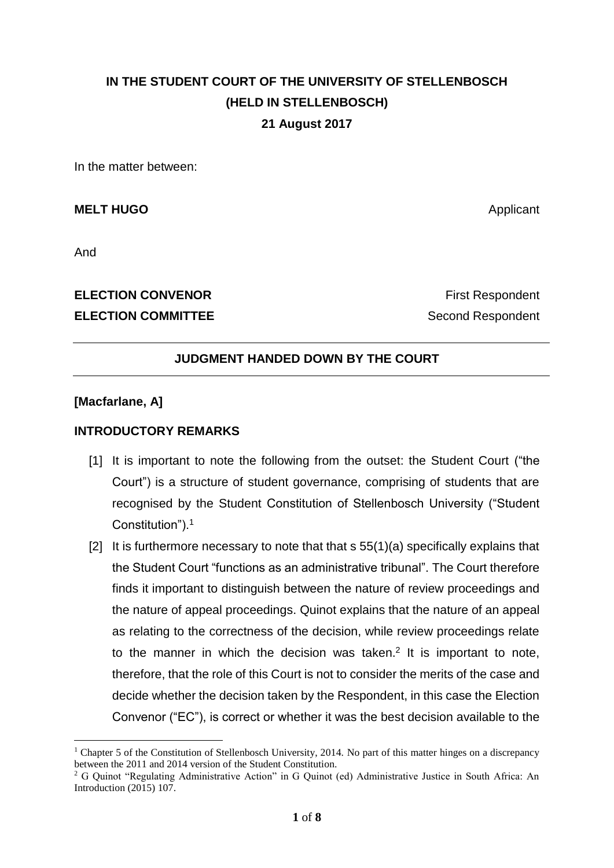# **IN THE STUDENT COURT OF THE UNIVERSITY OF STELLENBOSCH (HELD IN STELLENBOSCH) 21 August 2017**

In the matter between:

**MELT HUGO** Applicant

And

<u>.</u>

# **ELECTION COMMITTEE** Second Respondent

**ELECTION CONVENOR ELECTION** CONVENOR

# **JUDGMENT HANDED DOWN BY THE COURT**

#### **[Macfarlane, A]**

### **INTRODUCTORY REMARKS**

- [1] It is important to note the following from the outset: the Student Court ("the Court") is a structure of student governance, comprising of students that are recognised by the Student Constitution of Stellenbosch University ("Student Constitution").<sup>1</sup>
- [2] It is furthermore necessary to note that that  $s$  55(1)(a) specifically explains that the Student Court "functions as an administrative tribunal". The Court therefore finds it important to distinguish between the nature of review proceedings and the nature of appeal proceedings. Quinot explains that the nature of an appeal as relating to the correctness of the decision, while review proceedings relate to the manner in which the decision was taken.<sup>2</sup> It is important to note, therefore, that the role of this Court is not to consider the merits of the case and decide whether the decision taken by the Respondent, in this case the Election Convenor ("EC"), is correct or whether it was the best decision available to the

<sup>&</sup>lt;sup>1</sup> Chapter 5 of the Constitution of Stellenbosch University, 2014. No part of this matter hinges on a discrepancy between the 2011 and 2014 version of the Student Constitution.

<sup>2</sup> G Quinot "Regulating Administrative Action" in G Quinot (ed) Administrative Justice in South Africa: An Introduction (2015) 107.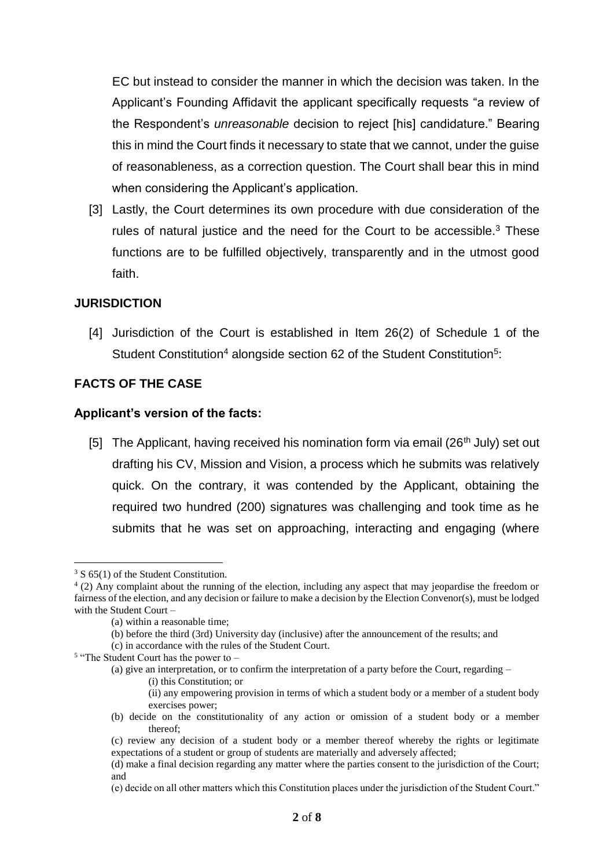EC but instead to consider the manner in which the decision was taken. In the Applicant's Founding Affidavit the applicant specifically requests "a review of the Respondent's *unreasonable* decision to reject [his] candidature." Bearing this in mind the Court finds it necessary to state that we cannot, under the guise of reasonableness, as a correction question. The Court shall bear this in mind when considering the Applicant's application.

[3] Lastly, the Court determines its own procedure with due consideration of the rules of natural justice and the need for the Court to be accessible.<sup>3</sup> These functions are to be fulfilled objectively, transparently and in the utmost good faith.

#### **JURISDICTION**

[4] Jurisdiction of the Court is established in Item 26(2) of Schedule 1 of the Student Constitution<sup>4</sup> alongside section 62 of the Student Constitution<sup>5</sup>:

# **FACTS OF THE CASE**

#### **Applicant's version of the facts:**

[5] The Applicant, having received his nomination form via email (26<sup>th</sup> July) set out drafting his CV, Mission and Vision, a process which he submits was relatively quick. On the contrary, it was contended by the Applicant, obtaining the required two hundred (200) signatures was challenging and took time as he submits that he was set on approaching, interacting and engaging (where

1

<sup>&</sup>lt;sup>3</sup> S 65(1) of the Student Constitution.

<sup>4</sup> (2) Any complaint about the running of the election, including any aspect that may jeopardise the freedom or fairness of the election, and any decision or failure to make a decision by the Election Convenor(s), must be lodged with the Student Court –

<sup>(</sup>a) within a reasonable time;

<sup>(</sup>b) before the third (3rd) University day (inclusive) after the announcement of the results; and

<sup>(</sup>c) in accordance with the rules of the Student Court.

<sup>&</sup>lt;sup>5</sup> "The Student Court has the power to -

<sup>(</sup>a) give an interpretation, or to confirm the interpretation of a party before the Court, regarding –

<sup>(</sup>i) this Constitution; or

<sup>(</sup>ii) any empowering provision in terms of which a student body or a member of a student body exercises power;

<sup>(</sup>b) decide on the constitutionality of any action or omission of a student body or a member thereof;

<sup>(</sup>c) review any decision of a student body or a member thereof whereby the rights or legitimate expectations of a student or group of students are materially and adversely affected;

<sup>(</sup>d) make a final decision regarding any matter where the parties consent to the jurisdiction of the Court; and

<sup>(</sup>e) decide on all other matters which this Constitution places under the jurisdiction of the Student Court."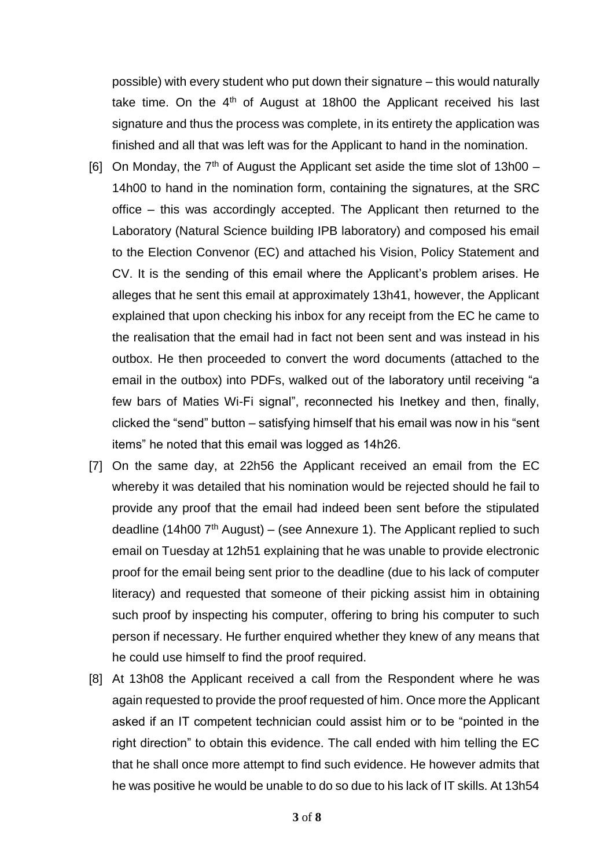possible) with every student who put down their signature – this would naturally take time. On the  $4<sup>th</sup>$  of August at 18h00 the Applicant received his last signature and thus the process was complete, in its entirety the application was finished and all that was left was for the Applicant to hand in the nomination.

- [6] On Monday, the  $7<sup>th</sup>$  of August the Applicant set aside the time slot of 13h00 14h00 to hand in the nomination form, containing the signatures, at the SRC office – this was accordingly accepted. The Applicant then returned to the Laboratory (Natural Science building IPB laboratory) and composed his email to the Election Convenor (EC) and attached his Vision, Policy Statement and CV. It is the sending of this email where the Applicant's problem arises. He alleges that he sent this email at approximately 13h41, however, the Applicant explained that upon checking his inbox for any receipt from the EC he came to the realisation that the email had in fact not been sent and was instead in his outbox. He then proceeded to convert the word documents (attached to the email in the outbox) into PDFs, walked out of the laboratory until receiving "a few bars of Maties Wi-Fi signal", reconnected his Inetkey and then, finally, clicked the "send" button – satisfying himself that his email was now in his "sent items" he noted that this email was logged as 14h26.
- [7] On the same day, at 22h56 the Applicant received an email from the EC whereby it was detailed that his nomination would be rejected should he fail to provide any proof that the email had indeed been sent before the stipulated deadline (14h00  $7<sup>th</sup>$  August) – (see Annexure 1). The Applicant replied to such email on Tuesday at 12h51 explaining that he was unable to provide electronic proof for the email being sent prior to the deadline (due to his lack of computer literacy) and requested that someone of their picking assist him in obtaining such proof by inspecting his computer, offering to bring his computer to such person if necessary. He further enquired whether they knew of any means that he could use himself to find the proof required.
- [8] At 13h08 the Applicant received a call from the Respondent where he was again requested to provide the proof requested of him. Once more the Applicant asked if an IT competent technician could assist him or to be "pointed in the right direction" to obtain this evidence. The call ended with him telling the EC that he shall once more attempt to find such evidence. He however admits that he was positive he would be unable to do so due to his lack of IT skills. At 13h54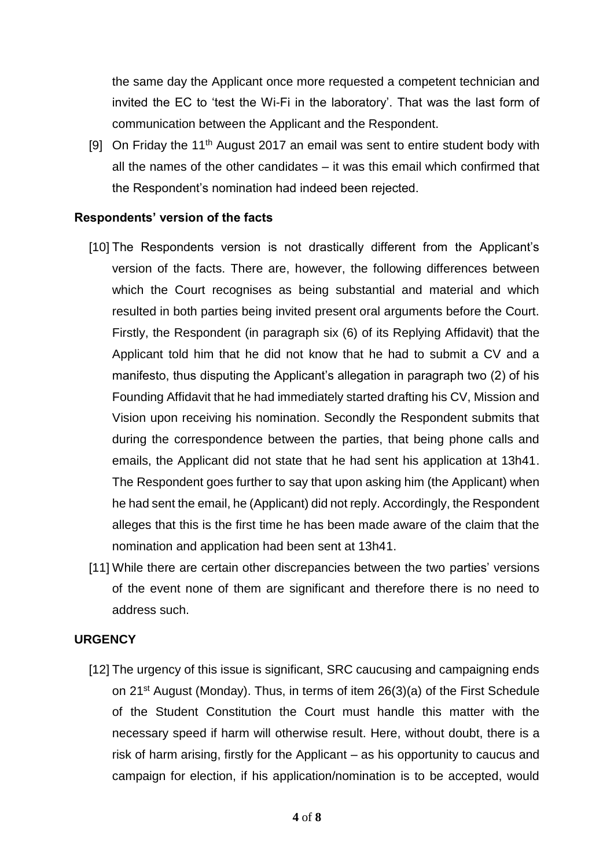the same day the Applicant once more requested a competent technician and invited the EC to 'test the Wi-Fi in the laboratory'. That was the last form of communication between the Applicant and the Respondent.

[9] On Friday the 11<sup>th</sup> August 2017 an email was sent to entire student body with all the names of the other candidates – it was this email which confirmed that the Respondent's nomination had indeed been rejected.

#### **Respondents' version of the facts**

- [10] The Respondents version is not drastically different from the Applicant's version of the facts. There are, however, the following differences between which the Court recognises as being substantial and material and which resulted in both parties being invited present oral arguments before the Court. Firstly, the Respondent (in paragraph six (6) of its Replying Affidavit) that the Applicant told him that he did not know that he had to submit a CV and a manifesto, thus disputing the Applicant's allegation in paragraph two (2) of his Founding Affidavit that he had immediately started drafting his CV, Mission and Vision upon receiving his nomination. Secondly the Respondent submits that during the correspondence between the parties, that being phone calls and emails, the Applicant did not state that he had sent his application at 13h41. The Respondent goes further to say that upon asking him (the Applicant) when he had sent the email, he (Applicant) did not reply. Accordingly, the Respondent alleges that this is the first time he has been made aware of the claim that the nomination and application had been sent at 13h41.
- [11] While there are certain other discrepancies between the two parties' versions of the event none of them are significant and therefore there is no need to address such.

#### **URGENCY**

[12] The urgency of this issue is significant, SRC caucusing and campaigning ends on 21<sup>st</sup> August (Monday). Thus, in terms of item 26(3)(a) of the First Schedule of the Student Constitution the Court must handle this matter with the necessary speed if harm will otherwise result. Here, without doubt, there is a risk of harm arising, firstly for the Applicant – as his opportunity to caucus and campaign for election, if his application/nomination is to be accepted, would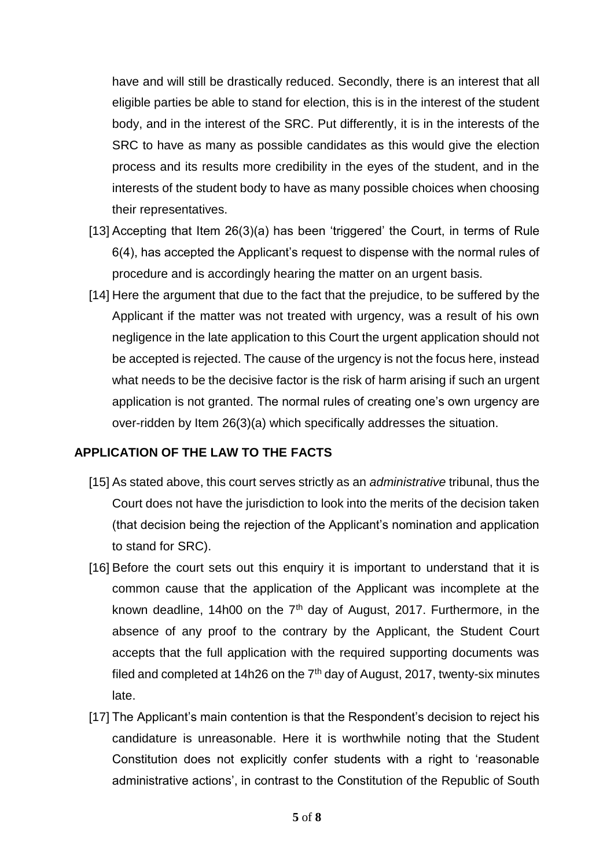have and will still be drastically reduced. Secondly, there is an interest that all eligible parties be able to stand for election, this is in the interest of the student body, and in the interest of the SRC. Put differently, it is in the interests of the SRC to have as many as possible candidates as this would give the election process and its results more credibility in the eyes of the student, and in the interests of the student body to have as many possible choices when choosing their representatives.

- [13] Accepting that Item 26(3)(a) has been 'triggered' the Court, in terms of Rule 6(4), has accepted the Applicant's request to dispense with the normal rules of procedure and is accordingly hearing the matter on an urgent basis.
- [14] Here the argument that due to the fact that the prejudice, to be suffered by the Applicant if the matter was not treated with urgency, was a result of his own negligence in the late application to this Court the urgent application should not be accepted is rejected. The cause of the urgency is not the focus here, instead what needs to be the decisive factor is the risk of harm arising if such an urgent application is not granted. The normal rules of creating one's own urgency are over-ridden by Item 26(3)(a) which specifically addresses the situation.

#### **APPLICATION OF THE LAW TO THE FACTS**

- [15] As stated above, this court serves strictly as an *administrative* tribunal, thus the Court does not have the jurisdiction to look into the merits of the decision taken (that decision being the rejection of the Applicant's nomination and application to stand for SRC).
- [16] Before the court sets out this enquiry it is important to understand that it is common cause that the application of the Applicant was incomplete at the known deadline, 14h00 on the  $7<sup>th</sup>$  day of August, 2017. Furthermore, in the absence of any proof to the contrary by the Applicant, the Student Court accepts that the full application with the required supporting documents was filed and completed at 14h26 on the  $7<sup>th</sup>$  day of August, 2017, twenty-six minutes late.
- [17] The Applicant's main contention is that the Respondent's decision to reject his candidature is unreasonable. Here it is worthwhile noting that the Student Constitution does not explicitly confer students with a right to 'reasonable administrative actions', in contrast to the Constitution of the Republic of South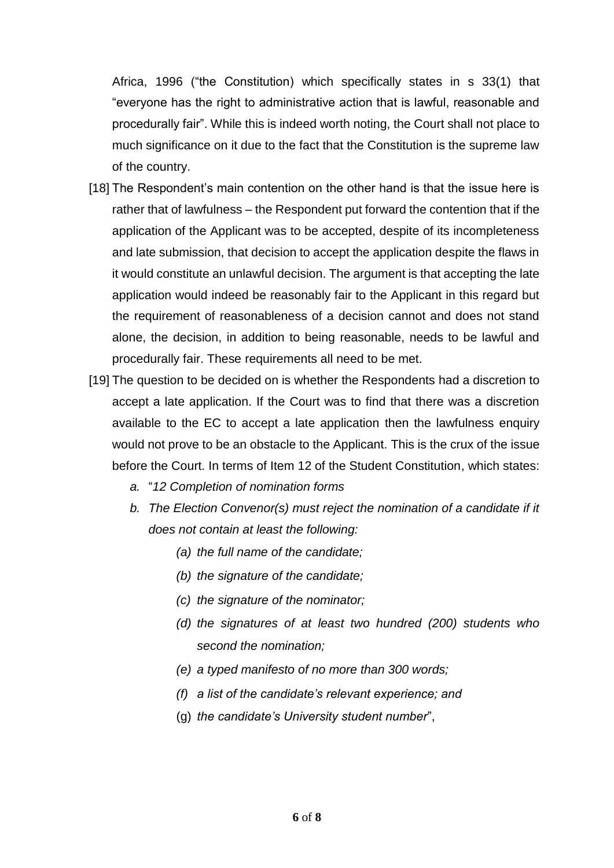Africa, 1996 ("the Constitution) which specifically states in s 33(1) that "everyone has the right to administrative action that is lawful, reasonable and procedurally fair". While this is indeed worth noting, the Court shall not place to much significance on it due to the fact that the Constitution is the supreme law of the country.

- [18] The Respondent's main contention on the other hand is that the issue here is rather that of lawfulness – the Respondent put forward the contention that if the application of the Applicant was to be accepted, despite of its incompleteness and late submission, that decision to accept the application despite the flaws in it would constitute an unlawful decision. The argument is that accepting the late application would indeed be reasonably fair to the Applicant in this regard but the requirement of reasonableness of a decision cannot and does not stand alone, the decision, in addition to being reasonable, needs to be lawful and procedurally fair. These requirements all need to be met.
- [19] The question to be decided on is whether the Respondents had a discretion to accept a late application. If the Court was to find that there was a discretion available to the EC to accept a late application then the lawfulness enquiry would not prove to be an obstacle to the Applicant. This is the crux of the issue before the Court. In terms of Item 12 of the Student Constitution, which states:
	- *a.* "*12 Completion of nomination forms*
	- *b. The Election Convenor(s) must reject the nomination of a candidate if it does not contain at least the following:* 
		- *(a) the full name of the candidate;*
		- *(b) the signature of the candidate;*
		- *(c) the signature of the nominator;*
		- *(d) the signatures of at least two hundred (200) students who second the nomination;*
		- *(e) a typed manifesto of no more than 300 words;*
		- *(f) a list of the candidate's relevant experience; and*
		- (g) *the candidate's University student number*",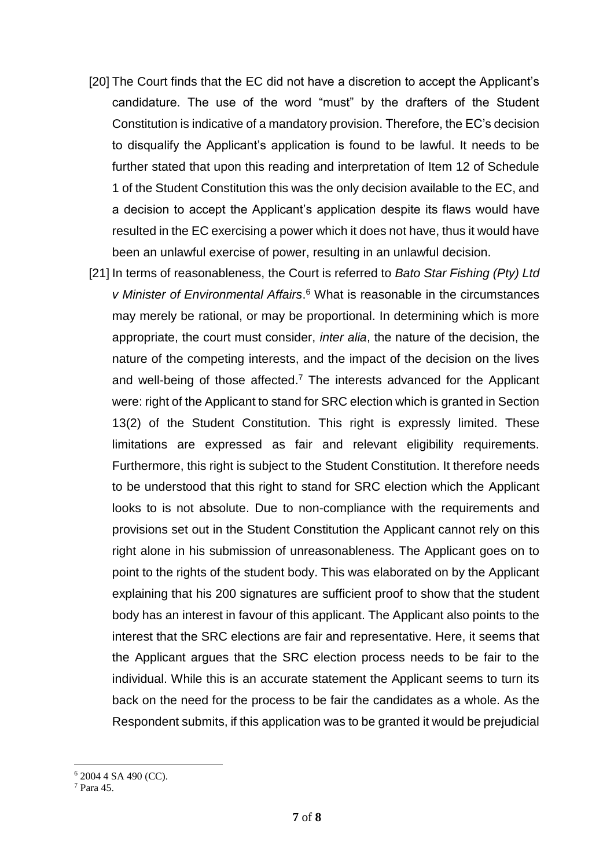- [20] The Court finds that the EC did not have a discretion to accept the Applicant's candidature. The use of the word "must" by the drafters of the Student Constitution is indicative of a mandatory provision. Therefore, the EC's decision to disqualify the Applicant's application is found to be lawful. It needs to be further stated that upon this reading and interpretation of Item 12 of Schedule 1 of the Student Constitution this was the only decision available to the EC, and a decision to accept the Applicant's application despite its flaws would have resulted in the EC exercising a power which it does not have, thus it would have been an unlawful exercise of power, resulting in an unlawful decision.
- [21] In terms of reasonableness, the Court is referred to *Bato Star Fishing (Pty) Ltd v Minister of Environmental Affairs*. <sup>6</sup> What is reasonable in the circumstances may merely be rational, or may be proportional. In determining which is more appropriate, the court must consider, *inter alia*, the nature of the decision, the nature of the competing interests, and the impact of the decision on the lives and well-being of those affected.<sup>7</sup> The interests advanced for the Applicant were: right of the Applicant to stand for SRC election which is granted in Section 13(2) of the Student Constitution. This right is expressly limited. These limitations are expressed as fair and relevant eligibility requirements. Furthermore, this right is subject to the Student Constitution. It therefore needs to be understood that this right to stand for SRC election which the Applicant looks to is not absolute. Due to non-compliance with the requirements and provisions set out in the Student Constitution the Applicant cannot rely on this right alone in his submission of unreasonableness. The Applicant goes on to point to the rights of the student body. This was elaborated on by the Applicant explaining that his 200 signatures are sufficient proof to show that the student body has an interest in favour of this applicant. The Applicant also points to the interest that the SRC elections are fair and representative. Here, it seems that the Applicant argues that the SRC election process needs to be fair to the individual. While this is an accurate statement the Applicant seems to turn its back on the need for the process to be fair the candidates as a whole. As the Respondent submits, if this application was to be granted it would be prejudicial

1

<sup>6</sup> 2004 4 SA 490 (CC).

<sup>7</sup> Para 45.